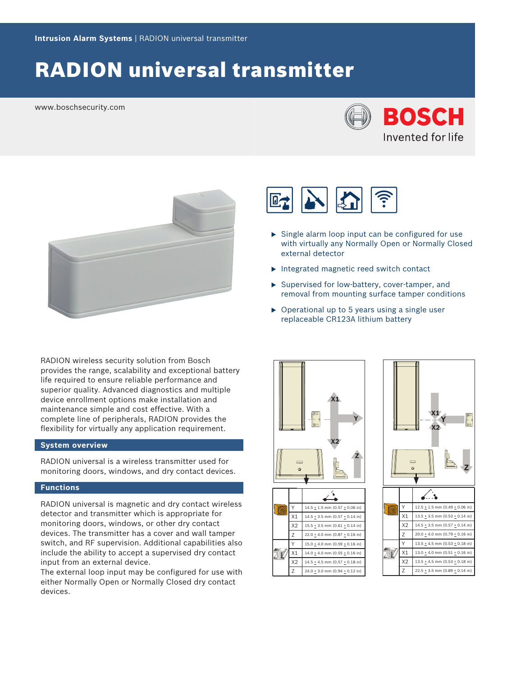# RADION universal transmitter

www.boschsecurity.com





RADION wireless security solution from Bosch provides the range, scalability and exceptional battery life required to ensure reliable performance and superior quality. Advanced diagnostics and multiple device enrollment options make installation and maintenance simple and cost effective. With a complete line of peripherals, RADION provides the flexibility for virtually any application requirement.

#### **System overview**

RADION universal is a wireless transmitter used for monitoring doors, windows, and dry contact devices.

#### **Functions**

RADION universal is magnetic and dry contact wireless detector and transmitter which is appropriate for monitoring doors, windows, or other dry contact devices. The transmitter has a cover and wall tamper switch, and RF supervision. Additional capabilities also include the ability to accept a supervised dry contact input from an external device. detector and transmitter which is appropriate for<br>
monitoring doors, windows, or other dry contact<br>
devices. The transmitter has a cover and wall tamper<br>
switch, and RF supervision. Additional capabilities also<br>
include t

The external loop input may be configured for use with either Normally Open or Normally Closed dry contact



- $\triangleright$  Single alarm loop input can be configured for use with virtually any Normally Open or Normally Closed external detector
- $\blacktriangleright$  Integrated magnetic reed switch contact
- $\triangleright$  Supervised for low-battery, cover-tamper, and removal from mounting surface tamper conditions
- $\triangleright$  Operational up to 5 years using a single user replaceable CR123A lithium battery





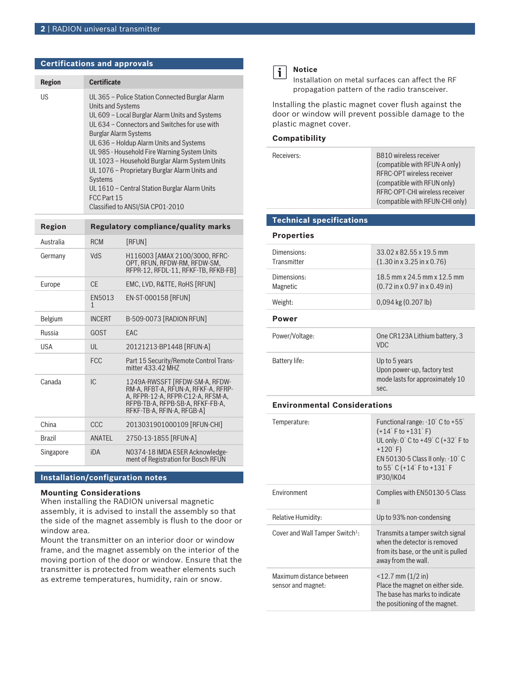#### **Certifications and approvals**

| <b>Region</b> | <b>Certificate</b>                                                                                                                                                                                                                                                                                                                                                                                                                                                                                                          |
|---------------|-----------------------------------------------------------------------------------------------------------------------------------------------------------------------------------------------------------------------------------------------------------------------------------------------------------------------------------------------------------------------------------------------------------------------------------------------------------------------------------------------------------------------------|
| US            | UL 365 - Police Station Connected Burglar Alarm<br><b>Units and Systems</b><br>UL 609 – Local Burglar Alarm Units and Systems<br>UL 634 - Connectors and Switches for use with<br>Burglar Alarm Systems<br>UL 636 - Holdup Alarm Units and Systems<br>UL 985 - Household Fire Warning System Units<br>UL 1023 - Household Burglar Alarm System Units<br>UL 1076 - Proprietary Burglar Alarm Units and<br><b>Systems</b><br>UL 1610 – Central Station Burglar Alarm Units<br>FCC Part 15<br>Classified to ANSI/SIA CP01-2010 |

| <b>Region</b> | <b>Regulatory compliance/quality marks</b> |                                                                                                                                                                              |
|---------------|--------------------------------------------|------------------------------------------------------------------------------------------------------------------------------------------------------------------------------|
| Australia     | <b>RCM</b>                                 | [RFUN]                                                                                                                                                                       |
| Germany       | <b>NdS</b>                                 | H116003 [AMAX 2100/3000, RFRC-<br>OPT, RFUN, RFDW-RM, RFDW-SM,<br>RFPR-12, RFDL-11, RFKF-TB, RFKB-FB]                                                                        |
| Europe        | C <sub>F</sub>                             | EMC, LVD, R&TTE, RoHS [RFUN]                                                                                                                                                 |
|               | EN5013<br>1                                | EN-ST-000158 [RFUN]                                                                                                                                                          |
| Belgium       | <b>INCFRT</b>                              | B-509-0073 [RADION RFUN]                                                                                                                                                     |
| Russia        | GOST                                       | FAC                                                                                                                                                                          |
| <b>USA</b>    | UL                                         | 20121213-BP1448 [RFUN-A]                                                                                                                                                     |
|               | <b>FCC</b>                                 | Part 15 Security/Remote Control Trans-<br>mitter 433.42 MH7                                                                                                                  |
| Canada        | IC.                                        | 1249A-RWSSFT [RFDW-SM-A, RFDW-<br>RM-A, RFBT-A, RFUN-A, RFKF-A, RFRP-<br>A, RFPR-12-A, RFPR-C12-A, RFSM-A,<br>RFPB-TB-A, RFPB-SB-A, RFKF-FB-A,<br>RFKF-TB-A, RFIN-A, RFGB-A1 |
| China         | CCC                                        | 2013031901000109 [RFUN-CHI]                                                                                                                                                  |
| <b>Brazil</b> | ANATEL                                     | 2750-13-1855 [RFUN-A]                                                                                                                                                        |
| Singapore     | iDA                                        | N0374-18 IMDA ESER Acknowledge-<br>ment of Registration for Bosch RFUN                                                                                                       |

#### **Installation/configuration notes**

#### **Mounting Considerations**

When installing the RADION universal magnetic assembly, it is advised to install the assembly so that the side of the magnet assembly is flush to the door or window area.

Mount the transmitter on an interior door or window frame, and the magnet assembly on the interior of the moving portion of the door or window. Ensure that the transmitter is protected from weather elements such as extreme temperatures, humidity, rain or snow.



Installation on metal surfaces can affect the RF propagation pattern of the radio transceiver.

Installing the plastic magnet cover flush against the door or window will prevent possible damage to the plastic magnet cover.

#### **Compatibility**

| Receivers: | B810 wireless receiver<br>(compatible with RFUN-A only)<br><b>RFRC-OPT wireless receiver</b><br>(compatible with RFUN only)<br>RFRC-OPT-CHI wireless receiver<br>(compatible with RFUN-CHI only) |
|------------|--------------------------------------------------------------------------------------------------------------------------------------------------------------------------------------------------|
|            |                                                                                                                                                                                                  |

#### **Technical specifications**

**Properties**

| Dimensions:<br>Transmitter | $33.02 \times 82.55 \times 19.5$ mm<br>$(1.30 \text{ in } x 3.25 \text{ in } x 0.76)$   |
|----------------------------|-----------------------------------------------------------------------------------------|
| Dimensions:<br>Magnetic    | 18.5 mm x 24.5 mm x 12.5 mm<br>$(0.72$ in x 0.97 in x 0.49 in)                          |
| Weight:                    | $0,094$ kg $(0.207$ lb)                                                                 |
| Power                      |                                                                                         |
| Power/Voltage:             | One CR123A Lithium battery, 3<br>VDC.                                                   |
| Battery life:              | Up to 5 years<br>Upon power-up, factory test<br>mode lasts for approximately 10<br>sec. |

#### **Environmental Considerations**

| Temperature:                                   | Functional range: $-10^{\circ}$ C to $+55^{\circ}$<br>$(+14°$ F to $+131°$ F)<br>UL only: $0^\circ$ C to +49 $^\circ$ C (+32 $^\circ$ F to<br>$+120^{\circ}$ F)<br>EN 50130-5 Class II only: $-10^{\circ}$ C<br>to 55° C (+14° F to +131° F<br>IP30/IK04 |
|------------------------------------------------|----------------------------------------------------------------------------------------------------------------------------------------------------------------------------------------------------------------------------------------------------------|
| <b>Fnvironment</b>                             | Complies with EN50130-5 Class<br>$\mathsf{II}$                                                                                                                                                                                                           |
| Relative Humidity:                             | Up to 93% non-condensing                                                                                                                                                                                                                                 |
| Cover and Wall Tamper Switch <sup>1</sup> :    | Transmits a tamper switch signal<br>when the detector is removed<br>from its base, or the unit is pulled<br>away from the wall.                                                                                                                          |
| Maximum distance between<br>sensor and magnet: | $<$ 12.7 mm (1/2 in)<br>Place the magnet on either side.<br>The base has marks to indicate<br>the positioning of the magnet.                                                                                                                             |